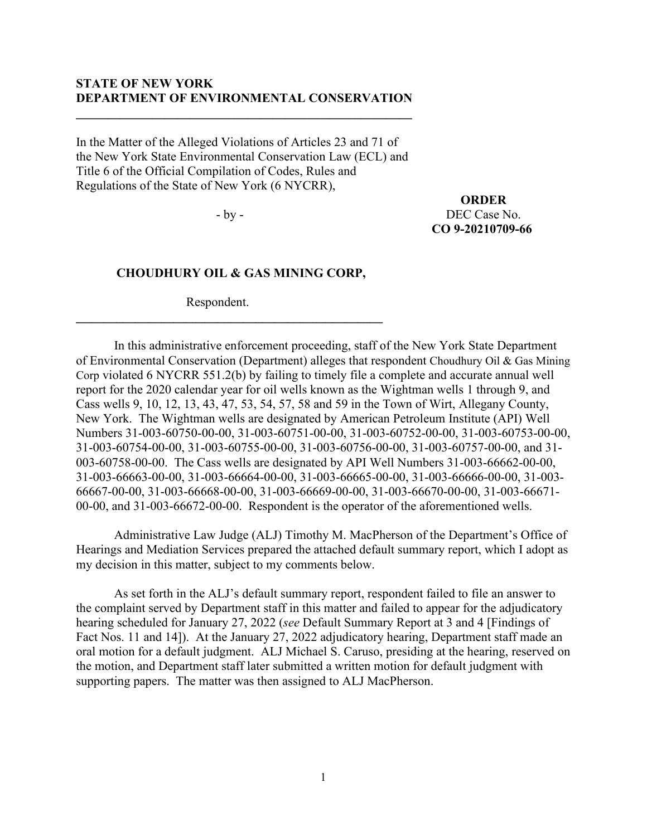## **STATE OF NEW YORK DEPARTMENT OF ENVIRONMENTAL CONSERVATION**

**\_\_\_\_\_\_\_\_\_\_\_\_\_\_\_\_\_\_\_\_\_\_\_\_\_\_\_\_\_\_\_\_\_\_\_\_\_\_\_\_\_\_\_\_\_\_\_\_\_\_\_\_\_**

In the Matter of the Alleged Violations of Articles 23 and 71 of the New York State Environmental Conservation Law (ECL) and Title 6 of the Official Compilation of Codes, Rules and Regulations of the State of New York (6 NYCRR),

- by -

**ORDER** DEC Case No. **CO 9-20210709-66**

## **CHOUDHURY OIL & GAS MINING CORP,**

Respondent.

**\_\_\_\_\_\_\_\_\_\_\_\_\_\_\_\_\_\_\_\_\_\_\_\_\_\_\_\_\_\_\_\_\_\_\_\_\_\_\_\_\_\_\_\_\_\_\_\_\_**

In this administrative enforcement proceeding, staff of the New York State Department of Environmental Conservation (Department) alleges that respondent Choudhury Oil & Gas Mining Corp violated 6 NYCRR 551.2(b) by failing to timely file a complete and accurate annual well report for the 2020 calendar year for oil wells known as the Wightman wells 1 through 9, and Cass wells 9, 10, 12, 13, 43, 47, 53, 54, 57, 58 and 59 in the Town of Wirt, Allegany County, New York. The Wightman wells are designated by American Petroleum Institute (API) Well Numbers 31-003-60750-00-00, 31-003-60751-00-00, 31-003-60752-00-00, 31-003-60753-00-00, 31-003-60754-00-00, 31-003-60755-00-00, 31-003-60756-00-00, 31-003-60757-00-00, and 31- 003-60758-00-00. The Cass wells are designated by API Well Numbers 31-003-66662-00-00, 31-003-66663-00-00, 31-003-66664-00-00, 31-003-66665-00-00, 31-003-66666-00-00, 31-003- 66667-00-00, 31-003-66668-00-00, 31-003-66669-00-00, 31-003-66670-00-00, 31-003-66671- 00-00, and 31-003-66672-00-00. Respondent is the operator of the aforementioned wells.

Administrative Law Judge (ALJ) Timothy M. MacPherson of the Department's Office of Hearings and Mediation Services prepared the attached default summary report, which I adopt as my decision in this matter, subject to my comments below.

As set forth in the ALJ's default summary report, respondent failed to file an answer to the complaint served by Department staff in this matter and failed to appear for the adjudicatory hearing scheduled for January 27, 2022 (*see* Default Summary Report at 3 and 4 [Findings of Fact Nos. 11 and 14]). At the January 27, 2022 adjudicatory hearing, Department staff made an oral motion for a default judgment. ALJ Michael S. Caruso, presiding at the hearing, reserved on the motion, and Department staff later submitted a written motion for default judgment with supporting papers. The matter was then assigned to ALJ MacPherson.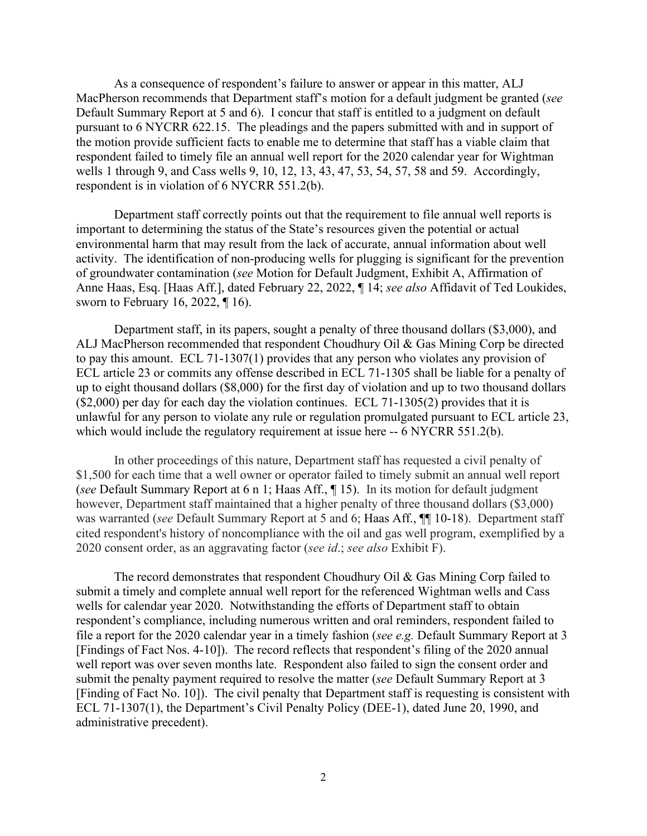As a consequence of respondent's failure to answer or appear in this matter, ALJ MacPherson recommends that Department staff's motion for a default judgment be granted (*see* Default Summary Report at 5 and 6). I concur that staff is entitled to a judgment on default pursuant to 6 NYCRR 622.15. The pleadings and the papers submitted with and in support of the motion provide sufficient facts to enable me to determine that staff has a viable claim that respondent failed to timely file an annual well report for the 2020 calendar year for Wightman wells 1 through 9, and Cass wells 9, 10, 12, 13, 43, 47, 53, 54, 57, 58 and 59. Accordingly, respondent is in violation of 6 NYCRR 551.2(b).

Department staff correctly points out that the requirement to file annual well reports is important to determining the status of the State's resources given the potential or actual environmental harm that may result from the lack of accurate, annual information about well activity. The identification of non-producing wells for plugging is significant for the prevention of groundwater contamination (*see* Motion for Default Judgment, Exhibit A, Affirmation of Anne Haas, Esq. [Haas Aff.], dated February 22, 2022, ¶ 14; *see also* Affidavit of Ted Loukides, sworn to February 16, 2022, ¶ 16).

Department staff, in its papers, sought a penalty of three thousand dollars (\$3,000), and ALJ MacPherson recommended that respondent Choudhury Oil & Gas Mining Corp be directed to pay this amount. ECL 71-1307(1) provides that any person who violates any provision of ECL article 23 or commits any offense described in ECL 71-1305 shall be liable for a penalty of up to eight thousand dollars (\$8,000) for the first day of violation and up to two thousand dollars  $(S2,000)$  per day for each day the violation continues. ECL 71-1305(2) provides that it is unlawful for any person to violate any rule or regulation promulgated pursuant to ECL article 23, which would include the regulatory requirement at issue here -- 6 NYCRR 551.2(b).

In other proceedings of this nature, Department staff has requested a civil penalty of \$1,500 for each time that a well owner or operator failed to timely submit an annual well report (*see* Default Summary Report at 6 n 1; Haas Aff., ¶ 15). In its motion for default judgment however, Department staff maintained that a higher penalty of three thousand dollars (\$3,000) was warranted (*see* Default Summary Report at 5 and 6; Haas Aff.,  $\P$  10-18). Department staff cited respondent's history of noncompliance with the oil and gas well program, exemplified by a 2020 consent order, as an aggravating factor (*see id*.; *see also* Exhibit F).

The record demonstrates that respondent Choudhury Oil & Gas Mining Corp failed to submit a timely and complete annual well report for the referenced Wightman wells and Cass wells for calendar year 2020. Notwithstanding the efforts of Department staff to obtain respondent's compliance, including numerous written and oral reminders, respondent failed to file a report for the 2020 calendar year in a timely fashion (*see e.g.* Default Summary Report at 3 [Findings of Fact Nos. 4-10]). The record reflects that respondent's filing of the 2020 annual well report was over seven months late. Respondent also failed to sign the consent order and submit the penalty payment required to resolve the matter (*see* Default Summary Report at 3 [Finding of Fact No. 10]). The civil penalty that Department staff is requesting is consistent with ECL 71-1307(1), the Department's Civil Penalty Policy (DEE-1), dated June 20, 1990, and administrative precedent).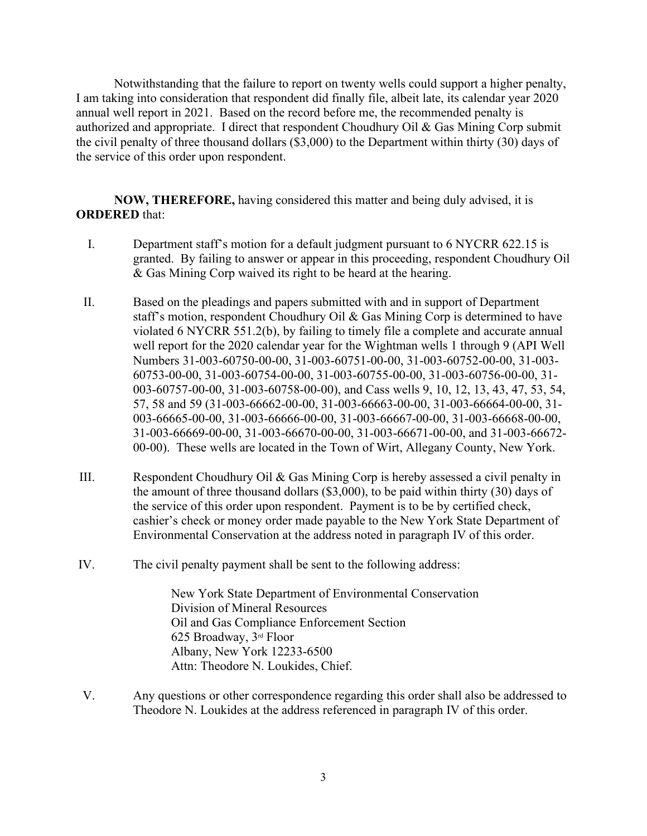Notwithstanding that the failure to report on twenty wells could support a higher penalty, I am taking into consideration that respondent did finally file, albeit late, its calendar year 2020 annual well report in 2021. Based on the record before me, the recommended penalty is authorized and appropriate. I direct that respondent Choudhury Oil & Gas Mining Corp submit the civil penalty of three thousand dollars (\$3,000) to the Department within thirty (30) days of the service of this order upon respondent.

**NOW, THEREFORE,** having considered this matter and being duly advised, it is **ORDERED** that:

- I. Department staff's motion for a default judgment pursuant to 6 NYCRR 622.15 is granted. By failing to answer or appear in this proceeding, respondent Choudhury Oil & Gas Mining Corp waived its right to be heard at the hearing.
- II. Based on the pleadings and papers submitted with and in support of Department staff's motion, respondent Choudhury Oil & Gas Mining Corp is determined to have violated 6 NYCRR 551.2(b), by failing to timely file a complete and accurate annual well report for the 2020 calendar year for the Wightman wells 1 through 9 (API Well Numbers 31-003-60750-00-00, 31-003-60751-00-00, 31-003-60752-00-00, 31-003- 60753-00-00, 31-003-60754-00-00, 31-003-60755-00-00, 31-003-60756-00-00, 31- 003-60757-00-00, 31-003-60758-00-00), and Cass wells 9, 10, 12, 13, 43, 47, 53, 54, 57, 58 and 59 (31-003-66662-00-00, 31-003-66663-00-00, 31-003-66664-00-00, 31- 003-66665-00-00, 31-003-66666-00-00, 31-003-66667-00-00, 31-003-66668-00-00, 31-003-66669-00-00, 31-003-66670-00-00, 31-003-66671-00-00, and 31-003-66672- 00-00). These wells are located in the Town of Wirt, Allegany County, New York.
- III. Respondent Choudhury Oil & Gas Mining Corp is hereby assessed a civil penalty in the amount of three thousand dollars (\$3,000), to be paid within thirty (30) days of the service of this order upon respondent. Payment is to be by certified check, cashier's check or money order made payable to the New York State Department of Environmental Conservation at the address noted in paragraph IV of this order.
- IV. The civil penalty payment shall be sent to the following address:

New York State Department of Environmental Conservation Division of Mineral Resources Oil and Gas Compliance Enforcement Section 625 Broadway, 3rd Floor Albany, New York 12233-6500 Attn: Theodore N. Loukides, Chief.

V. Any questions or other correspondence regarding this order shall also be addressed to Theodore N. Loukides at the address referenced in paragraph IV of this order.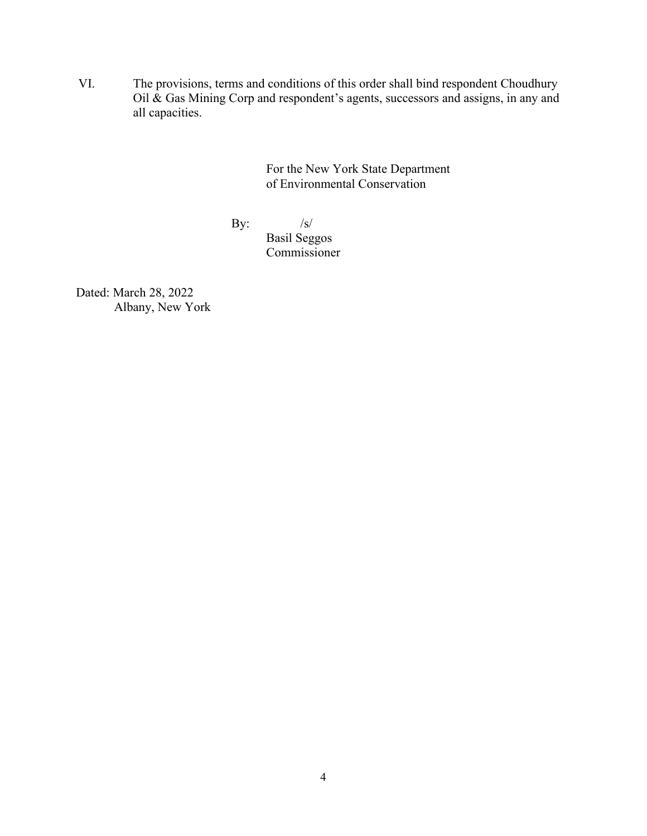VI. The provisions, terms and conditions of this order shall bind respondent Choudhury Oil & Gas Mining Corp and respondent's agents, successors and assigns, in any and all capacities.

> For the New York State Department of Environmental Conservation

By:  $/s/$ 

Basil Seggos Commissioner

Dated: March 28, 2022 Albany, New York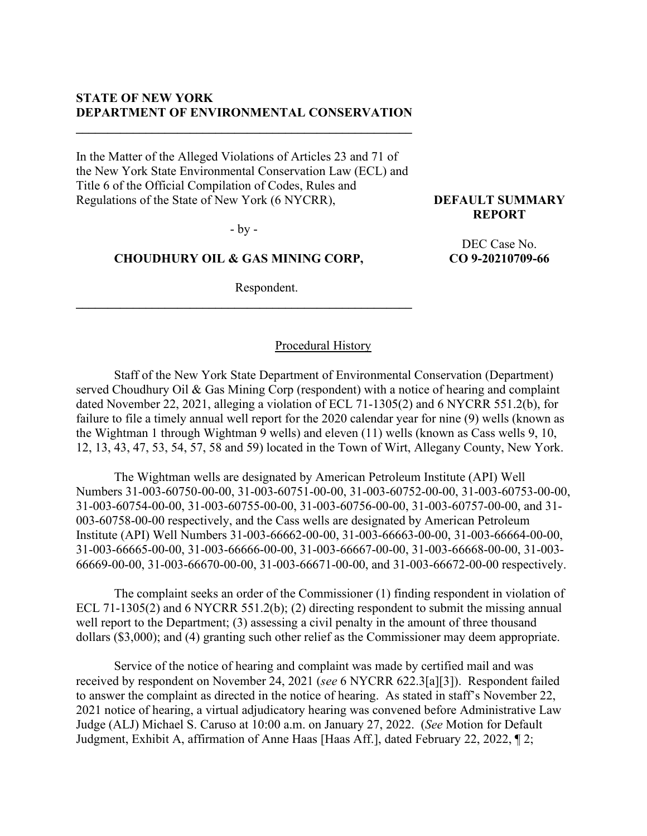# **STATE OF NEW YORK DEPARTMENT OF ENVIRONMENTAL CONSERVATION**

**\_\_\_\_\_\_\_\_\_\_\_\_\_\_\_\_\_\_\_\_\_\_\_\_\_\_\_\_\_\_\_\_\_\_\_\_\_\_\_\_\_\_\_\_\_\_\_\_\_\_\_\_\_**

In the Matter of the Alleged Violations of Articles 23 and 71 of the New York State Environmental Conservation Law (ECL) and Title 6 of the Official Compilation of Codes, Rules and Regulations of the State of New York (6 NYCRR),

- by -

## **CHOUDHURY OIL & GAS MINING CORP,**

**\_\_\_\_\_\_\_\_\_\_\_\_\_\_\_\_\_\_\_\_\_\_\_\_\_\_\_\_\_\_\_\_\_\_\_\_\_\_\_\_\_\_\_\_\_\_\_\_\_\_\_\_\_**

Respondent.

## Procedural History

Staff of the New York State Department of Environmental Conservation (Department) served Choudhury Oil & Gas Mining Corp (respondent) with a notice of hearing and complaint dated November 22, 2021, alleging a violation of ECL 71-1305(2) and 6 NYCRR 551.2(b), for failure to file a timely annual well report for the 2020 calendar year for nine (9) wells (known as the Wightman 1 through Wightman 9 wells) and eleven (11) wells (known as Cass wells 9, 10, 12, 13, 43, 47, 53, 54, 57, 58 and 59) located in the Town of Wirt, Allegany County, New York.

The Wightman wells are designated by American Petroleum Institute (API) Well Numbers 31-003-60750-00-00, 31-003-60751-00-00, 31-003-60752-00-00, 31-003-60753-00-00, 31-003-60754-00-00, 31-003-60755-00-00, 31-003-60756-00-00, 31-003-60757-00-00, and 31- 003-60758-00-00 respectively, and the Cass wells are designated by American Petroleum Institute (API) Well Numbers 31-003-66662-00-00, 31-003-66663-00-00, 31-003-66664-00-00, 31-003-66665-00-00, 31-003-66666-00-00, 31-003-66667-00-00, 31-003-66668-00-00, 31-003- 66669-00-00, 31-003-66670-00-00, 31-003-66671-00-00, and 31-003-66672-00-00 respectively.

The complaint seeks an order of the Commissioner (1) finding respondent in violation of ECL 71-1305(2) and 6 NYCRR 551.2(b); (2) directing respondent to submit the missing annual well report to the Department; (3) assessing a civil penalty in the amount of three thousand dollars (\$3,000); and (4) granting such other relief as the Commissioner may deem appropriate.

Service of the notice of hearing and complaint was made by certified mail and was received by respondent on November 24, 2021 (*see* 6 NYCRR 622.3[a][3]). Respondent failed to answer the complaint as directed in the notice of hearing. As stated in staff's November 22, 2021 notice of hearing, a virtual adjudicatory hearing was convened before Administrative Law Judge (ALJ) Michael S. Caruso at 10:00 a.m. on January 27, 2022. (*See* Motion for Default Judgment, Exhibit A, affirmation of Anne Haas [Haas Aff.], dated February 22, 2022, ¶ 2;

**DEFAULT SUMMARY REPORT**

> DEC Case No. **CO 9-20210709-66**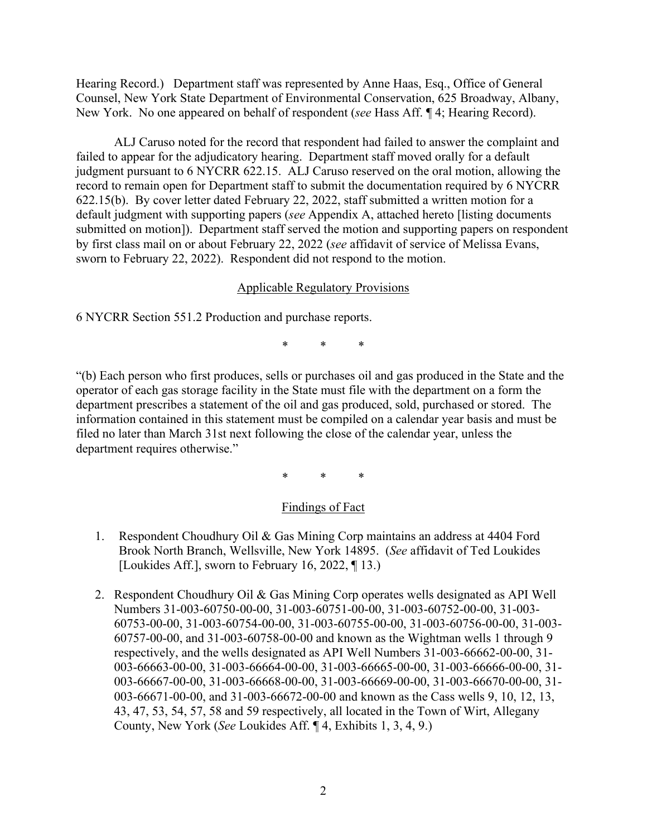Hearing Record.) Department staff was represented by Anne Haas, Esq., Office of General Counsel, New York State Department of Environmental Conservation, 625 Broadway, Albany, New York. No one appeared on behalf of respondent (*see* Hass Aff. ¶ 4; Hearing Record).

ALJ Caruso noted for the record that respondent had failed to answer the complaint and failed to appear for the adjudicatory hearing. Department staff moved orally for a default judgment pursuant to 6 NYCRR 622.15. ALJ Caruso reserved on the oral motion, allowing the record to remain open for Department staff to submit the documentation required by 6 NYCRR 622.15(b). By cover letter dated February 22, 2022, staff submitted a written motion for a default judgment with supporting papers (*see* Appendix A, attached hereto [listing documents submitted on motion]). Department staff served the motion and supporting papers on respondent by first class mail on or about February 22, 2022 (*see* affidavit of service of Melissa Evans, sworn to February 22, 2022). Respondent did not respond to the motion.

## Applicable Regulatory Provisions

6 NYCRR Section 551.2 Production and purchase reports.

\* \* \*

"(b) Each person who first produces, sells or purchases oil and gas produced in the State and the operator of each gas storage facility in the State must file with the department on a form the department prescribes a statement of the oil and gas produced, sold, purchased or stored. The information contained in this statement must be compiled on a calendar year basis and must be filed no later than March 31st next following the close of the calendar year, unless the department requires otherwise."

\* \* \*

# Findings of Fact

- 1. Respondent Choudhury Oil & Gas Mining Corp maintains an address at 4404 Ford Brook North Branch, Wellsville, New York 14895. (*See* affidavit of Ted Loukides [Loukides Aff.], sworn to February 16, 2022, [13.]
- 2. Respondent Choudhury Oil & Gas Mining Corp operates wells designated as API Well Numbers 31-003-60750-00-00, 31-003-60751-00-00, 31-003-60752-00-00, 31-003- 60753-00-00, 31-003-60754-00-00, 31-003-60755-00-00, 31-003-60756-00-00, 31-003- 60757-00-00, and 31-003-60758-00-00 and known as the Wightman wells 1 through 9 respectively, and the wells designated as API Well Numbers 31-003-66662-00-00, 31- 003-66663-00-00, 31-003-66664-00-00, 31-003-66665-00-00, 31-003-66666-00-00, 31- 003-66667-00-00, 31-003-66668-00-00, 31-003-66669-00-00, 31-003-66670-00-00, 31- 003-66671-00-00, and 31-003-66672-00-00 and known as the Cass wells 9, 10, 12, 13, 43, 47, 53, 54, 57, 58 and 59 respectively, all located in the Town of Wirt, Allegany County, New York (*See* Loukides Aff. ¶ 4, Exhibits 1, 3, 4, 9.)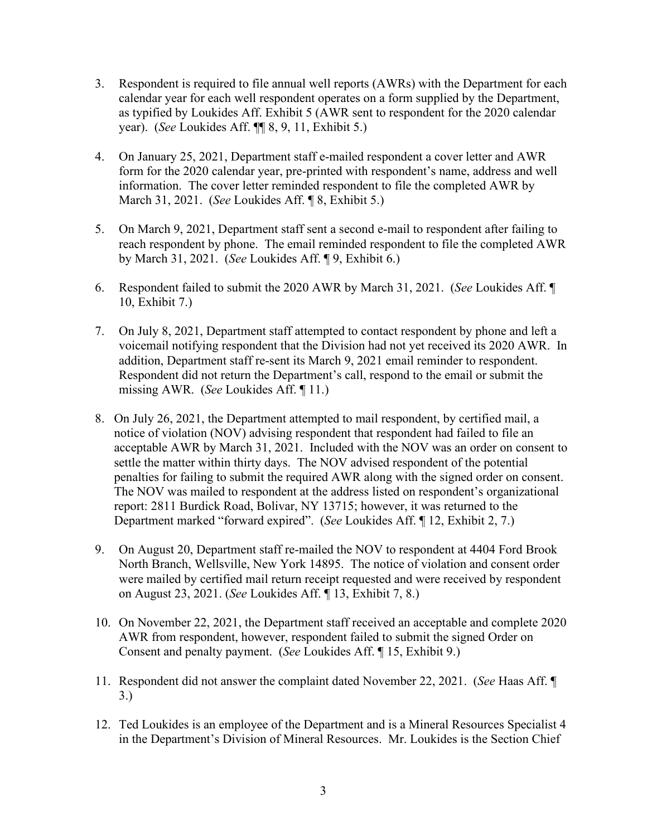- 3. Respondent is required to file annual well reports (AWRs) with the Department for each calendar year for each well respondent operates on a form supplied by the Department, as typified by Loukides Aff. Exhibit 5 (AWR sent to respondent for the 2020 calendar year). (*See* Loukides Aff. ¶¶ 8, 9, 11, Exhibit 5.)
- 4. On January 25, 2021, Department staff e-mailed respondent a cover letter and AWR form for the 2020 calendar year, pre-printed with respondent's name, address and well information. The cover letter reminded respondent to file the completed AWR by March 31, 2021. (*See* Loukides Aff. ¶ 8, Exhibit 5.)
- 5. On March 9, 2021, Department staff sent a second e-mail to respondent after failing to reach respondent by phone. The email reminded respondent to file the completed AWR by March 31, 2021. (*See* Loukides Aff. ¶ 9, Exhibit 6.)
- 6. Respondent failed to submit the 2020 AWR by March 31, 2021. (*See* Loukides Aff. ¶ 10, Exhibit 7.)
- 7. On July 8, 2021, Department staff attempted to contact respondent by phone and left a voicemail notifying respondent that the Division had not yet received its 2020 AWR. In addition, Department staff re-sent its March 9, 2021 email reminder to respondent. Respondent did not return the Department's call, respond to the email or submit the missing AWR. (*See* Loukides Aff. ¶ 11.)
- 8. On July 26, 2021, the Department attempted to mail respondent, by certified mail, a notice of violation (NOV) advising respondent that respondent had failed to file an acceptable AWR by March 31, 2021. Included with the NOV was an order on consent to settle the matter within thirty days. The NOV advised respondent of the potential penalties for failing to submit the required AWR along with the signed order on consent. The NOV was mailed to respondent at the address listed on respondent's organizational report: 2811 Burdick Road, Bolivar, NY 13715; however, it was returned to the Department marked "forward expired". (*See* Loukides Aff. ¶ 12, Exhibit 2, 7.)
- 9. On August 20, Department staff re-mailed the NOV to respondent at 4404 Ford Brook North Branch, Wellsville, New York 14895. The notice of violation and consent order were mailed by certified mail return receipt requested and were received by respondent on August 23, 2021. (*See* Loukides Aff. ¶ 13, Exhibit 7, 8.)
- 10. On November 22, 2021, the Department staff received an acceptable and complete 2020 AWR from respondent, however, respondent failed to submit the signed Order on Consent and penalty payment. (*See* Loukides Aff. ¶ 15, Exhibit 9.)
- 11. Respondent did not answer the complaint dated November 22, 2021. (*See* Haas Aff. ¶ 3.)
- 12. Ted Loukides is an employee of the Department and is a Mineral Resources Specialist 4 in the Department's Division of Mineral Resources. Mr. Loukides is the Section Chief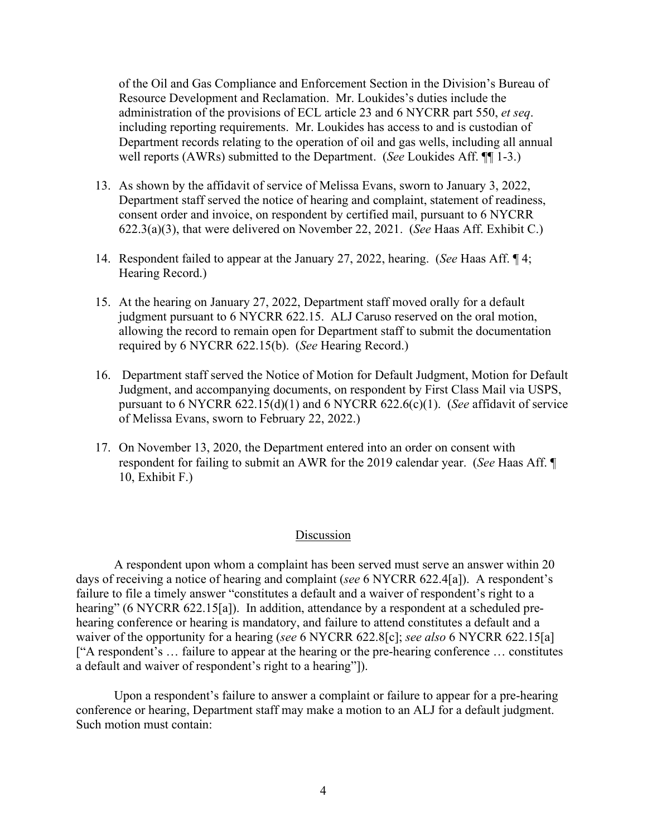of the Oil and Gas Compliance and Enforcement Section in the Division's Bureau of Resource Development and Reclamation. Mr. Loukides's duties include the administration of the provisions of ECL article 23 and 6 NYCRR part 550, *et seq*. including reporting requirements. Mr. Loukides has access to and is custodian of Department records relating to the operation of oil and gas wells, including all annual well reports (AWRs) submitted to the Department. (*See* Loukides Aff. ¶¶ 1-3.)

- 13. As shown by the affidavit of service of Melissa Evans, sworn to January 3, 2022, Department staff served the notice of hearing and complaint, statement of readiness, consent order and invoice, on respondent by certified mail, pursuant to 6 NYCRR 622.3(a)(3), that were delivered on November 22, 2021. (*See* Haas Aff. Exhibit C.)
- 14. Respondent failed to appear at the January 27, 2022, hearing. (*See* Haas Aff. ¶ 4; Hearing Record.)
- 15. At the hearing on January 27, 2022, Department staff moved orally for a default judgment pursuant to 6 NYCRR 622.15. ALJ Caruso reserved on the oral motion, allowing the record to remain open for Department staff to submit the documentation required by 6 NYCRR 622.15(b). (*See* Hearing Record.)
- 16. Department staff served the Notice of Motion for Default Judgment, Motion for Default Judgment, and accompanying documents, on respondent by First Class Mail via USPS, pursuant to 6 NYCRR 622.15(d)(1) and 6 NYCRR 622.6(c)(1). (*See* affidavit of service of Melissa Evans, sworn to February 22, 2022.)
- 17. On November 13, 2020, the Department entered into an order on consent with respondent for failing to submit an AWR for the 2019 calendar year. (*See* Haas Aff. ¶ 10, Exhibit F.)

### Discussion

A respondent upon whom a complaint has been served must serve an answer within 20 days of receiving a notice of hearing and complaint (*see* 6 NYCRR 622.4[a]). A respondent's failure to file a timely answer "constitutes a default and a waiver of respondent's right to a hearing" (6 NYCRR 622.15[a]). In addition, attendance by a respondent at a scheduled prehearing conference or hearing is mandatory, and failure to attend constitutes a default and a waiver of the opportunity for a hearing (*see* 6 NYCRR 622.8[c]; *see also* 6 NYCRR 622.15[a] ["A respondent's … failure to appear at the hearing or the pre-hearing conference … constitutes a default and waiver of respondent's right to a hearing"]).

Upon a respondent's failure to answer a complaint or failure to appear for a pre-hearing conference or hearing, Department staff may make a motion to an ALJ for a default judgment. Such motion must contain: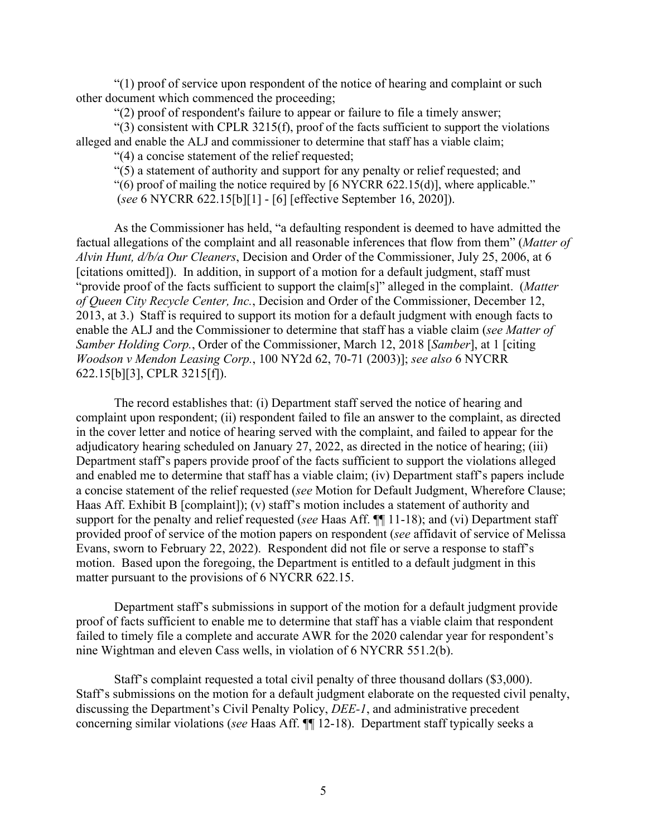"(1) proof of service upon respondent of the notice of hearing and complaint or such other document which commenced the proceeding;

"(2) proof of respondent's failure to appear or failure to file a timely answer;

 $(3)$  consistent with CPLR 3215(f), proof of the facts sufficient to support the violations alleged and enable the ALJ and commissioner to determine that staff has a viable claim;

"(4) a concise statement of the relief requested;

"(5) a statement of authority and support for any penalty or relief requested; and

"(6) proof of mailing the notice required by  $[6 \text{ NYCRR } 622.15(d)]$ , where applicable."

(*see* 6 NYCRR 622.15[b][1] - [6] [effective September 16, 2020]).

As the Commissioner has held, "a defaulting respondent is deemed to have admitted the factual allegations of the complaint and all reasonable inferences that flow from them" (*Matter of Alvin Hunt, d/b/a Our Cleaners*, Decision and Order of the Commissioner, July 25, 2006, at 6 [citations omitted]). In addition, in support of a motion for a default judgment, staff must "provide proof of the facts sufficient to support the claim[s]" alleged in the complaint. (*Matter of Queen City Recycle Center, Inc.*, Decision and Order of the Commissioner, December 12, 2013, at 3.) Staff is required to support its motion for a default judgment with enough facts to enable the ALJ and the Commissioner to determine that staff has a viable claim (*see Matter of Samber Holding Corp.*, Order of the Commissioner, March 12, 2018 [*Samber*], at 1 [citing *Woodson v Mendon Leasing Corp.*, 100 NY2d 62, 70-71 (2003)]; *see also* 6 NYCRR 622.15[b][3], CPLR 3215[f]).

The record establishes that: (i) Department staff served the notice of hearing and complaint upon respondent; (ii) respondent failed to file an answer to the complaint, as directed in the cover letter and notice of hearing served with the complaint, and failed to appear for the adjudicatory hearing scheduled on January 27, 2022, as directed in the notice of hearing; (iii) Department staff's papers provide proof of the facts sufficient to support the violations alleged and enabled me to determine that staff has a viable claim; (iv) Department staff's papers include a concise statement of the relief requested (*see* Motion for Default Judgment, Wherefore Clause; Haas Aff. Exhibit B [complaint]); (v) staff's motion includes a statement of authority and support for the penalty and relief requested (*see* Haas Aff. ¶¶ 11-18); and (vi) Department staff provided proof of service of the motion papers on respondent (*see* affidavit of service of Melissa Evans, sworn to February 22, 2022). Respondent did not file or serve a response to staff's motion. Based upon the foregoing, the Department is entitled to a default judgment in this matter pursuant to the provisions of 6 NYCRR 622.15.

Department staff's submissions in support of the motion for a default judgment provide proof of facts sufficient to enable me to determine that staff has a viable claim that respondent failed to timely file a complete and accurate AWR for the 2020 calendar year for respondent's nine Wightman and eleven Cass wells, in violation of 6 NYCRR 551.2(b).

Staff's complaint requested a total civil penalty of three thousand dollars (\$3,000). Staff's submissions on the motion for a default judgment elaborate on the requested civil penalty, discussing the Department's Civil Penalty Policy, *DEE-1*, and administrative precedent concerning similar violations (*see* Haas Aff. ¶¶ 12-18). Department staff typically seeks a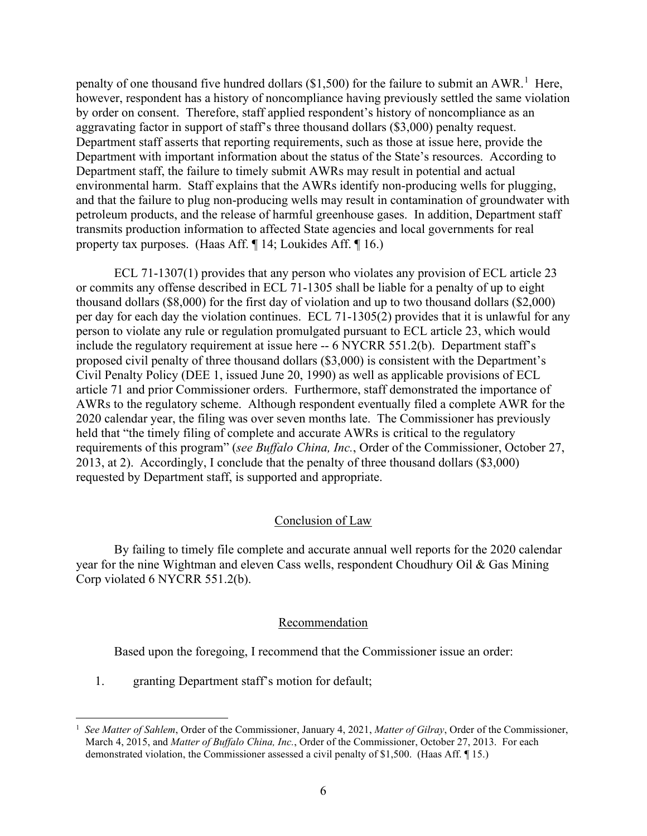penalty of one thousand five hundred dollars  $(\$1,500)$  $(\$1,500)$  $(\$1,500)$  for the failure to submit an AWR.<sup>1</sup> Here, however, respondent has a history of noncompliance having previously settled the same violation by order on consent. Therefore, staff applied respondent's history of noncompliance as an aggravating factor in support of staff's three thousand dollars (\$3,000) penalty request. Department staff asserts that reporting requirements, such as those at issue here, provide the Department with important information about the status of the State's resources. According to Department staff, the failure to timely submit AWRs may result in potential and actual environmental harm. Staff explains that the AWRs identify non-producing wells for plugging, and that the failure to plug non-producing wells may result in contamination of groundwater with petroleum products, and the release of harmful greenhouse gases. In addition, Department staff transmits production information to affected State agencies and local governments for real property tax purposes. (Haas Aff. ¶ 14; Loukides Aff. ¶ 16.)

ECL 71-1307(1) provides that any person who violates any provision of ECL article 23 or commits any offense described in ECL 71-1305 shall be liable for a penalty of up to eight thousand dollars (\$8,000) for the first day of violation and up to two thousand dollars (\$2,000) per day for each day the violation continues. ECL 71-1305(2) provides that it is unlawful for any person to violate any rule or regulation promulgated pursuant to ECL article 23, which would include the regulatory requirement at issue here -- 6 NYCRR 551.2(b). Department staff's proposed civil penalty of three thousand dollars (\$3,000) is consistent with the Department's Civil Penalty Policy (DEE 1, issued June 20, 1990) as well as applicable provisions of ECL article 71 and prior Commissioner orders. Furthermore, staff demonstrated the importance of AWRs to the regulatory scheme. Although respondent eventually filed a complete AWR for the 2020 calendar year, the filing was over seven months late. The Commissioner has previously held that "the timely filing of complete and accurate AWRs is critical to the regulatory requirements of this program" (*see Buffalo China, Inc.*, Order of the Commissioner, October 27, 2013, at 2). Accordingly, I conclude that the penalty of three thousand dollars (\$3,000) requested by Department staff, is supported and appropriate.

### Conclusion of Law

By failing to timely file complete and accurate annual well reports for the 2020 calendar year for the nine Wightman and eleven Cass wells, respondent Choudhury Oil & Gas Mining Corp violated 6 NYCRR 551.2(b).

#### Recommendation

Based upon the foregoing, I recommend that the Commissioner issue an order:

1. granting Department staff's motion for default;

<span id="page-9-0"></span><sup>1</sup> *See Matter of Sahlem*, Order of the Commissioner, January 4, 2021, *Matter of Gilray*, Order of the Commissioner, March 4, 2015, and *Matter of Buffalo China, Inc.*, Order of the Commissioner, October 27, 2013. For each demonstrated violation, the Commissioner assessed a civil penalty of \$1,500. (Haas Aff. ¶ 15.)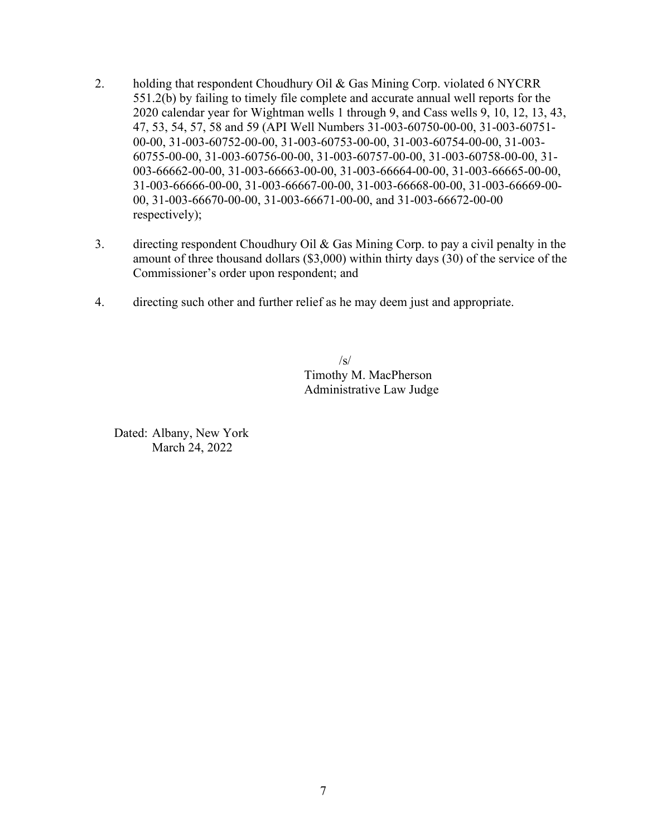- 2. holding that respondent Choudhury Oil & Gas Mining Corp. violated 6 NYCRR 551.2(b) by failing to timely file complete and accurate annual well reports for the 2020 calendar year for Wightman wells 1 through 9, and Cass wells 9, 10, 12, 13, 43, 47, 53, 54, 57, 58 and 59 (API Well Numbers 31-003-60750-00-00, 31-003-60751- 00-00, 31-003-60752-00-00, 31-003-60753-00-00, 31-003-60754-00-00, 31-003- 60755-00-00, 31-003-60756-00-00, 31-003-60757-00-00, 31-003-60758-00-00, 31- 003-66662-00-00, 31-003-66663-00-00, 31-003-66664-00-00, 31-003-66665-00-00, 31-003-66666-00-00, 31-003-66667-00-00, 31-003-66668-00-00, 31-003-66669-00- 00, 31-003-66670-00-00, 31-003-66671-00-00, and 31-003-66672-00-00 respectively);
- 3. directing respondent Choudhury Oil & Gas Mining Corp. to pay a civil penalty in the amount of three thousand dollars (\$3,000) within thirty days (30) of the service of the Commissioner's order upon respondent; and
- 4. directing such other and further relief as he may deem just and appropriate.

 $\sqrt{s}$ Timothy M. MacPherson Administrative Law Judge

Dated: Albany, New York March 24, 2022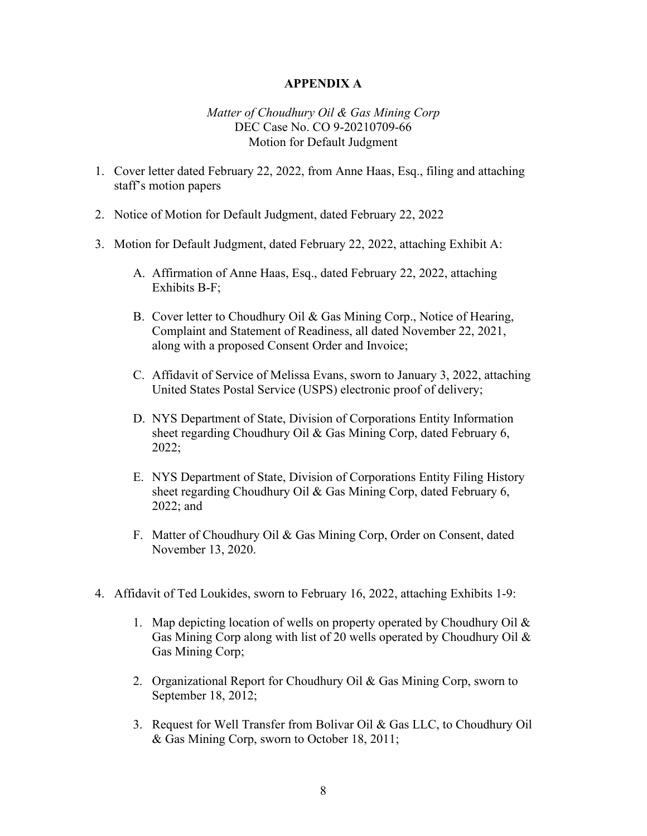## **APPENDIX A**

## *Matter of Choudhury Oil & Gas Mining Corp* DEC Case No. CO 9-20210709-66 Motion for Default Judgment

- 1. Cover letter dated February 22, 2022, from Anne Haas, Esq., filing and attaching staff's motion papers
- 2. Notice of Motion for Default Judgment, dated February 22, 2022
- 3. Motion for Default Judgment, dated February 22, 2022, attaching Exhibit A:
	- A. Affirmation of Anne Haas, Esq., dated February 22, 2022, attaching Exhibits B-F;
	- B. Cover letter to Choudhury Oil & Gas Mining Corp., Notice of Hearing, Complaint and Statement of Readiness, all dated November 22, 2021, along with a proposed Consent Order and Invoice;
	- C. Affidavit of Service of Melissa Evans, sworn to January 3, 2022, attaching United States Postal Service (USPS) electronic proof of delivery;
	- D. NYS Department of State, Division of Corporations Entity Information sheet regarding Choudhury Oil & Gas Mining Corp, dated February 6, 2022;
	- E. NYS Department of State, Division of Corporations Entity Filing History sheet regarding Choudhury Oil & Gas Mining Corp, dated February 6, 2022; and
	- F. Matter of Choudhury Oil & Gas Mining Corp, Order on Consent, dated November 13, 2020.
- 4. Affidavit of Ted Loukides, sworn to February 16, 2022, attaching Exhibits 1-9:
	- 1. Map depicting location of wells on property operated by Choudhury Oil & Gas Mining Corp along with list of 20 wells operated by Choudhury Oil & Gas Mining Corp;
	- 2. Organizational Report for Choudhury Oil & Gas Mining Corp, sworn to September 18, 2012;
	- 3. Request for Well Transfer from Bolivar Oil & Gas LLC, to Choudhury Oil & Gas Mining Corp, sworn to October 18, 2011;